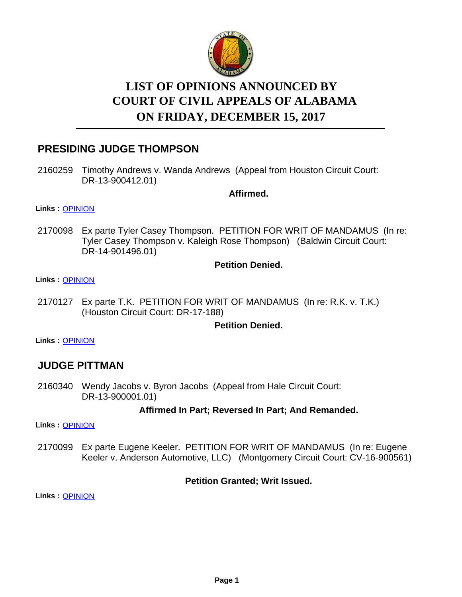

# **LIST OF OPINIONS ANNOUNCED BY ON FRIDAY, DECEMBER 15, 2017 COURT OF CIVIL APPEALS OF ALABAMA**

# **PRESIDING JUDGE THOMPSON**

2160259 Timothy Andrews v. Wanda Andrews (Appeal from Houston Circuit Court: DR-13-900412.01)

**Affirmed.**

**Links :** [OPINION](https://acis.alabama.gov/displaydocs.cfm?no=845278&event=5300KMGZ8)

2170098 Ex parte Tyler Casey Thompson. PETITION FOR WRIT OF MANDAMUS (In re: Tyler Casey Thompson v. Kaleigh Rose Thompson) (Baldwin Circuit Court: DR-14-901496.01)

### **Petition Denied.**

#### **Links :** [OPINION](https://acis.alabama.gov/displaydocs.cfm?no=845282&event=5300KMHU0)

2170127 Ex parte T.K. PETITION FOR WRIT OF MANDAMUS (In re: R.K. v. T.K.) (Houston Circuit Court: DR-17-188)

### **Petition Denied.**

**Links :** [OPINION](https://acis.alabama.gov/displaydocs.cfm?no=845284&event=5300KMI29)

## **JUDGE PITTMAN**

2160340 Wendy Jacobs v. Byron Jacobs (Appeal from Hale Circuit Court: DR-13-900001.01)

### **Affirmed In Part; Reversed In Part; And Remanded.**

**Links :** [OPINION](https://acis.alabama.gov/displaydocs.cfm?no=845279&event=5300KMH5A)

Ex parte Eugene Keeler. PETITION FOR WRIT OF MANDAMUS (In re: Eugene Keeler v. Anderson Automotive, LLC) (Montgomery Circuit Court: CV-16-900561) 2170099

### **Petition Granted; Writ Issued.**

**Links :** [OPINION](https://acis.alabama.gov/displaydocs.cfm?no=845283&event=5300KMHXW)